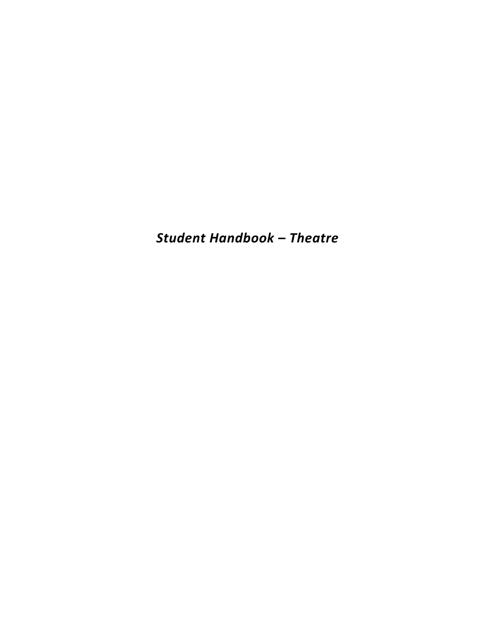*Student Handbook – Theatre*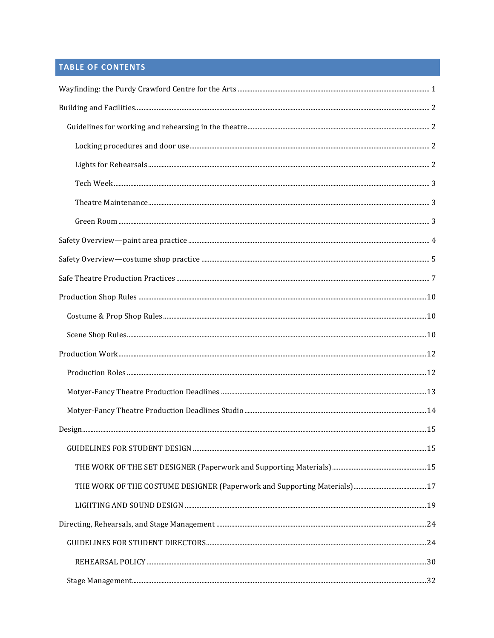# **TABLE OF CONTENTS**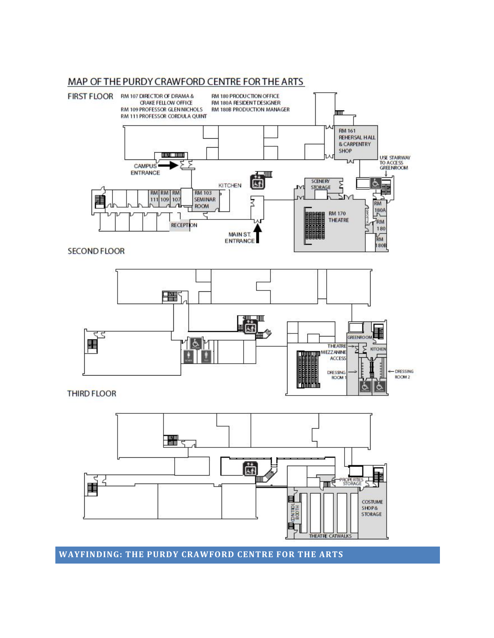#### **WAYFINDING: THE PURDY CRAWFORD CENTRE FOR THE ARTS**





**RM 180 PRODUCTION OFFICE** 

**RM 180A RESIDENT DESIGNER** 

RM 180B PRODUCTION MANAGER

luur

**RM 161 REHERSAL HALL & CARPENTRY** SHOP

认

USE STAIRWAY<br>TO ACCESS<br>GREENROOM

# MAP OF THE PURDY CRAWFORD CENTRE FOR THE ARTS

**CRAKE FELLOW OFFICE** 

**RM 109 PROFESSOR GLEN NICHOLS** 

RM 111 PROFESSOR CORDULA QUINT

**TORIC HOUR** 

FIRST FLOOR RM 107 DIRECTOR OF DRAMA &

**CAMPUS** ENTRANCE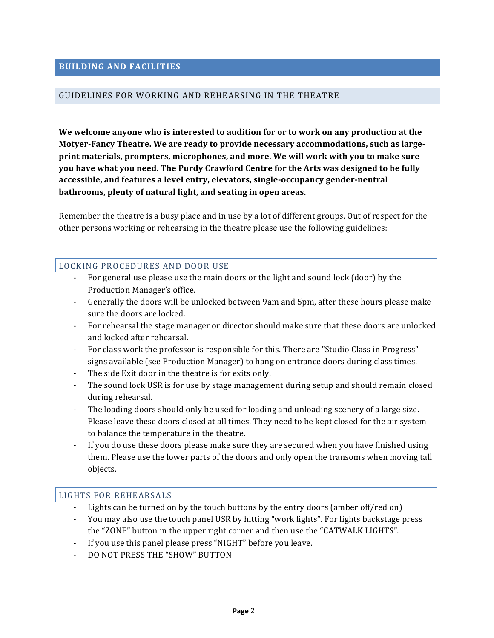#### GUIDELINES FOR WORKING AND REHEARSING IN THE THEATRE

We welcome anyone who is interested to audition for or to work on any production at the **Motyer-Fancy Theatre. We are ready to provide necessary accommodations, such as largeprint materials, prompters, microphones, and more. We will work with you to make sure** you have what you need. The Purdy Crawford Centre for the Arts was designed to be fully accessible, and features a level entry, elevators, single-occupancy gender-neutral **bathrooms, plenty of natural light, and seating in open areas.** 

Remember the theatre is a busy place and in use by a lot of different groups. Out of respect for the other persons working or rehearsing in the theatre please use the following guidelines:

#### LOCKING PROCEDURES AND DOOR USE

- For general use please use the main doors or the light and sound lock (door) by the Production Manager's office.
- Generally the doors will be unlocked between 9am and 5pm, after these hours please make sure the doors are locked.
- For rehearsal the stage manager or director should make sure that these doors are unlocked and locked after rehearsal.
- For class work the professor is responsible for this. There are "Studio Class in Progress" signs available (see Production Manager) to hang on entrance doors during class times.
- The side Exit door in the theatre is for exits only.
- The sound lock USR is for use by stage management during setup and should remain closed during rehearsal.
- The loading doors should only be used for loading and unloading scenery of a large size. Please leave these doors closed at all times. They need to be kept closed for the air system to balance the temperature in the theatre.
- If you do use these doors please make sure they are secured when you have finished using them. Please use the lower parts of the doors and only open the transoms when moving tall objects.

#### LIGHTS FOR REHEARSALS

- Lights can be turned on by the touch buttons by the entry doors (amber off/red on)
- You may also use the touch panel USR by hitting "work lights". For lights backstage press the "ZONE" button in the upper right corner and then use the "CATWALK LIGHTS".
- If you use this panel please press "NIGHT" before you leave.
- DO NOT PRESS THE "SHOW" BUTTON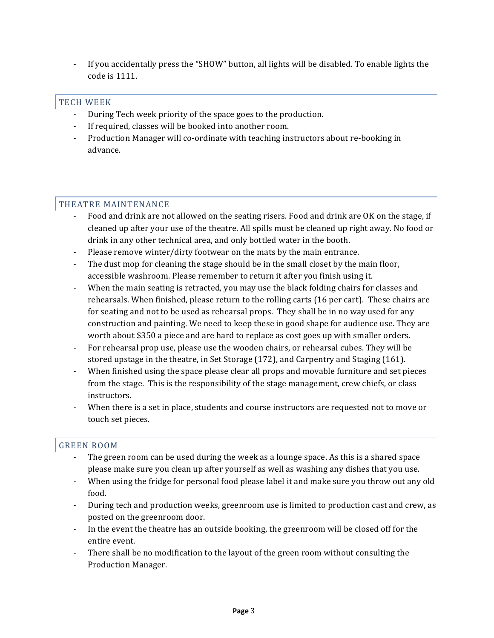- If you accidentally press the "SHOW" button, all lights will be disabled. To enable lights the code is 1111.

# TECH WEEK

- During Tech week priority of the space goes to the production.
- If required, classes will be booked into another room.
- Production Manager will co-ordinate with teaching instructors about re-booking in advance.

# THEATRE MAINTENANCE

- Food and drink are not allowed on the seating risers. Food and drink are OK on the stage, if cleaned up after your use of the theatre. All spills must be cleaned up right away. No food or drink in any other technical area, and only bottled water in the booth.
- Please remove winter/dirty footwear on the mats by the main entrance.
- The dust mop for cleaning the stage should be in the small closet by the main floor, accessible washroom. Please remember to return it after you finish using it.
- When the main seating is retracted, you may use the black folding chairs for classes and rehearsals. When finished, please return to the rolling carts (16 per cart). These chairs are for seating and not to be used as rehearsal props. They shall be in no way used for any construction and painting. We need to keep these in good shape for audience use. They are worth about \$350 a piece and are hard to replace as cost goes up with smaller orders.
- For rehearsal prop use, please use the wooden chairs, or rehearsal cubes. They will be stored upstage in the theatre, in Set Storage  $(172)$ , and Carpentry and Staging  $(161)$ .
- When finished using the space please clear all props and movable furniture and set pieces from the stage. This is the responsibility of the stage management, crew chiefs, or class instructors.
- When there is a set in place, students and course instructors are requested not to move or touch set pieces.

# **GREEN ROOM**

- The green room can be used during the week as a lounge space. As this is a shared space please make sure you clean up after yourself as well as washing any dishes that you use.
- When using the fridge for personal food please label it and make sure you throw out any old food.
- During tech and production weeks, greenroom use is limited to production cast and crew, as posted on the greenroom door.
- In the event the theatre has an outside booking, the greenroom will be closed off for the entire event.
- There shall be no modification to the layout of the green room without consulting the Production Manager.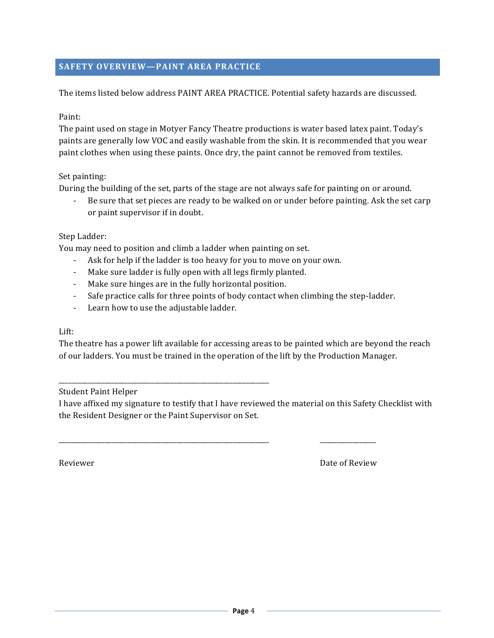# **SAFETY OVERVIEW-PAINT AREA PRACTICE**

The items listed below address PAINT AREA PRACTICE. Potential safety hazards are discussed.

#### Paint:

The paint used on stage in Motyer Fancy Theatre productions is water based latex paint. Today's paints are generally low VOC and easily washable from the skin. It is recommended that you wear paint clothes when using these paints. Once dry, the paint cannot be removed from textiles.

#### Set painting:

During the building of the set, parts of the stage are not always safe for painting on or around.

- Be sure that set pieces are ready to be walked on or under before painting. Ask the set carp or paint supervisor if in doubt.

#### Step Ladder:

You may need to position and climb a ladder when painting on set.

- Ask for help if the ladder is too heavy for you to move on your own.
- Make sure ladder is fully open with all legs firmly planted.
- Make sure hinges are in the fully horizontal position.
- Safe practice calls for three points of body contact when climbing the step-ladder.
- Learn how to use the adjustable ladder.

\_\_\_\_\_\_\_\_\_\_\_\_\_\_\_\_\_\_\_\_\_\_\_\_\_\_\_\_\_\_\_\_\_\_\_\_\_\_\_\_\_\_\_\_\_\_\_\_\_\_\_\_\_\_\_\_\_\_\_\_\_\_\_\_

#### Lift:

The theatre has a power lift available for accessing areas to be painted which are beyond the reach of our ladders. You must be trained in the operation of the lift by the Production Manager.

Student Paint Helper

I have affixed my signature to testify that I have reviewed the material on this Safety Checklist with the Resident Designer or the Paint Supervisor on Set.

\_\_\_\_\_\_\_\_\_\_\_\_\_\_\_\_\_\_\_\_\_\_\_\_\_\_\_\_\_\_\_\_\_\_\_\_\_\_\_\_\_\_\_\_\_\_\_\_\_\_\_\_\_\_\_\_\_\_\_\_\_\_\_\_ \_\_\_\_\_\_\_\_\_\_\_\_\_\_\_\_\_

Reviewer **Date of Review** Date of Review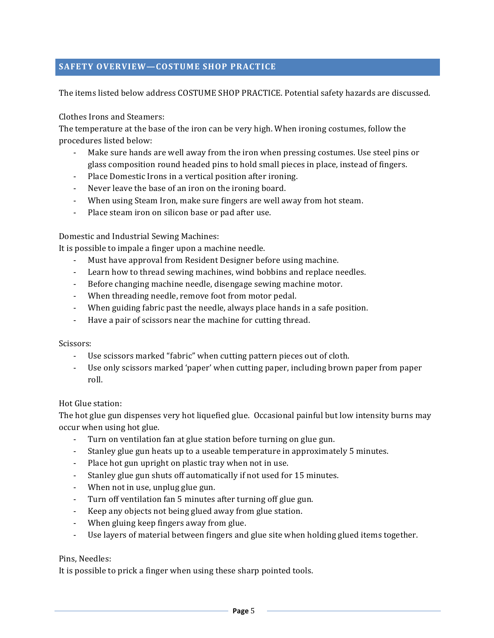# **SAFETY OVERVIEW-COSTUME SHOP PRACTICE**

The items listed below address COSTUME SHOP PRACTICE. Potential safety hazards are discussed.

Clothes Irons and Steamers:

The temperature at the base of the iron can be very high. When ironing costumes, follow the procedures listed below:

- Make sure hands are well away from the iron when pressing costumes. Use steel pins or glass composition round headed pins to hold small pieces in place, instead of fingers.
- Place Domestic Irons in a vertical position after ironing.
- Never leave the base of an iron on the ironing board.
- When using Steam Iron, make sure fingers are well away from hot steam.
- Place steam iron on silicon base or pad after use.

#### Domestic and Industrial Sewing Machines:

It is possible to impale a finger upon a machine needle.

- Must have approval from Resident Designer before using machine.
- Learn how to thread sewing machines, wind bobbins and replace needles.
- Before changing machine needle, disengage sewing machine motor.
- When threading needle, remove foot from motor pedal.
- When guiding fabric past the needle, always place hands in a safe position.
- Have a pair of scissors near the machine for cutting thread.

#### Scissors:

- Use scissors marked "fabric" when cutting pattern pieces out of cloth.
- Use only scissors marked 'paper' when cutting paper, including brown paper from paper roll.

Hot Glue station:

The hot glue gun dispenses very hot liquefied glue. Occasional painful but low intensity burns may occur when using hot glue.

- Turn on ventilation fan at glue station before turning on glue gun.
- Stanley glue gun heats up to a useable temperature in approximately 5 minutes.
- Place hot gun upright on plastic tray when not in use.
- Stanley glue gun shuts off automatically if not used for 15 minutes.
- When not in use, unplug glue gun.
- Turn off ventilation fan 5 minutes after turning off glue gun.
- Keep any objects not being glued away from glue station.
- When gluing keep fingers away from glue.
- Use layers of material between fingers and glue site when holding glued items together.

#### Pins, Needles:

It is possible to prick a finger when using these sharp pointed tools.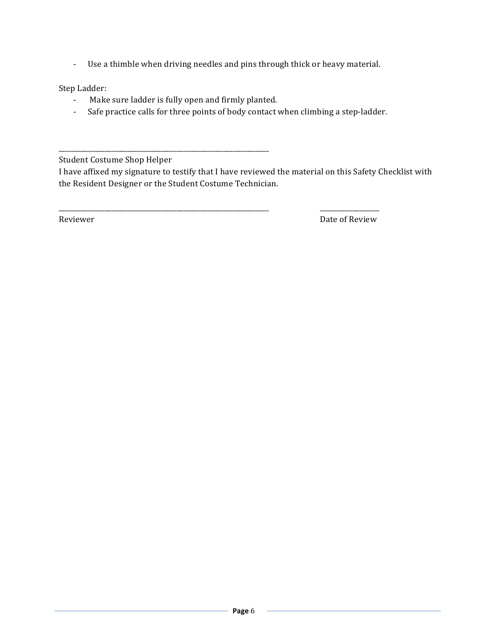- Use a thimble when driving needles and pins through thick or heavy material.

Step Ladder:

- Make sure ladder is fully open and firmly planted.

\_\_\_\_\_\_\_\_\_\_\_\_\_\_\_\_\_\_\_\_\_\_\_\_\_\_\_\_\_\_\_\_\_\_\_\_\_\_\_\_\_\_\_\_\_\_\_\_\_\_\_\_\_\_\_\_\_\_\_\_\_\_\_\_

- Safe practice calls for three points of body contact when climbing a step-ladder.

\_\_\_\_\_\_\_\_\_\_\_\_\_\_\_\_\_\_\_\_\_\_\_\_\_\_\_\_\_\_\_\_\_\_\_\_\_\_\_\_\_\_\_\_\_\_\_\_\_\_\_\_\_\_\_\_\_\_\_\_\_\_\_\_ \_\_\_\_\_\_\_\_\_\_\_\_\_\_\_\_\_\_

Student Costume Shop Helper

I have affixed my signature to testify that I have reviewed the material on this Safety Checklist with the Resident Designer or the Student Costume Technician.

Reviewer **Date of Reviewer** Date of Review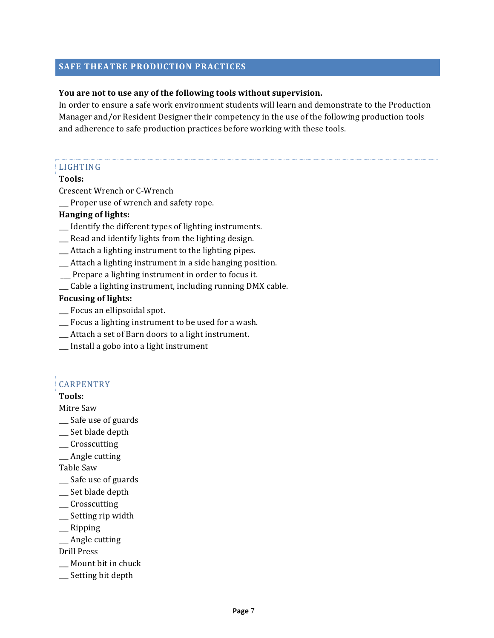#### **SAFE THEATRE PRODUCTION PRACTICES**

#### You are not to use any of the following tools without supervision.

In order to ensure a safe work environment students will learn and demonstrate to the Production Manager and/or Resident Designer their competency in the use of the following production tools and adherence to safe production practices before working with these tools.

# LIGHTING

#### **Tools:**

Crescent Wrench or C-Wrench

\_\_\_ Proper use of wrench and safety rope.

#### **Hanging of lights:**

- $\Box$  Identify the different types of lighting instruments.
- \_\_\_ Read and identify lights from the lighting design.
- $\_\_$ Attach a lighting instrument to the lighting pipes.
- $\Box$  Attach a lighting instrument in a side hanging position.
- \_\_ Prepare a lighting instrument in order to focus it.
- \_\_ Cable a lighting instrument, including running DMX cable.

#### **Focusing of lights:**

- \_\_ Focus an ellipsoidal spot.
- \_\_ Focus a lighting instrument to be used for a wash.
- $\_\_$ Attach a set of Barn doors to a light instrument.
- \_\_\_ Install a gobo into a light instrument

#### CARPENTRY

#### **Tools:**

Mitre Saw

- \_\_\_ Safe use of guards
- \_\_\_ Set blade depth
- \_\_\_ Crosscutting
- \_\_ Angle cutting

Table Saw

- \_\_ Safe use of guards
- \_\_\_ Set blade depth
- \_\_\_ Crosscutting
- \_\_ Setting rip width
- $\equiv$ Ripping
- \_\_ Angle cutting

Drill Press

- \_\_ Mount bit in chuck
- \_\_ Setting bit depth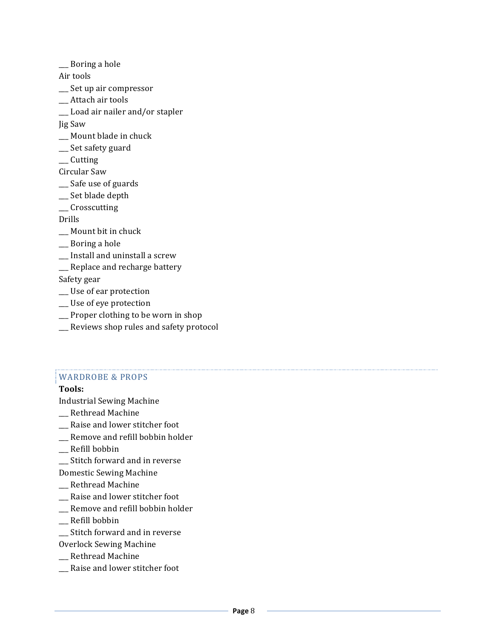\_\_ Boring a hole

Air tools

- \_\_ Set up air compressor
- \_\_ Attach air tools
- \_\_ Load air nailer and/or stapler

Jig Saw

- \_\_ Mount blade in chuck
- \_\_ Set safety guard
- \_\_\_ Cutting

Circular Saw

- \_\_ Safe use of guards
- \_\_ Set blade depth
- \_\_\_ Crosscutting

Drills

- \_\_ Mount bit in chuck
- \_\_ Boring a hole
- \_\_ Install and uninstall a screw
- \_\_ Replace and recharge battery

Safety gear

- \_\_ Use of ear protection
- \_\_ Use of eye protection
- $\Box$  Proper clothing to be worn in shop
- \_\_\_ Reviews shop rules and safety protocol

#### WARDROBE & PROPS

#### **Tools:**

Industrial Sewing Machine

- \_\_ Rethread Machine
- \_\_ Raise and lower stitcher foot
- \_\_ Remove and refill bobbin holder
- \_\_ Refill bobbin
- \_\_ Stitch forward and in reverse
- Domestic Sewing Machine
- \_\_ Rethread Machine
- \_\_ Raise and lower stitcher foot
- \_\_ Remove and refill bobbin holder
- \_\_\_ Refill bobbin
- \_\_\_ Stitch forward and in reverse
- Overlock Sewing Machine
- \_\_ Rethread Machine
- Raise and lower stitcher foot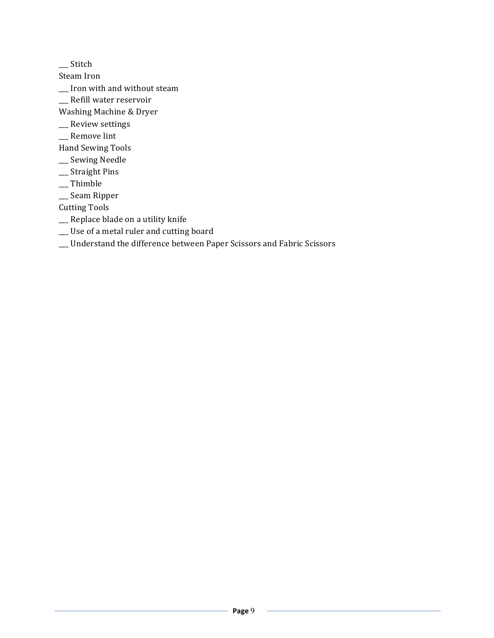\_\_\_ Stitch 

Steam Iron

\_\_ Iron with and without steam

\_\_ Refill water reservoir

Washing Machine & Dryer

- \_\_\_ Review settings
- $\rule{1em}{0.15mm}$  \_\_ Remove lint

Hand Sewing Tools

- \_\_ Sewing Needle
- \_\_\_ Straight Pins
- $\rule{1em}{0.15mm}$  \_\_ Thimble
- \_\_\_ Seam Ripper

**Cutting Tools** 

- \_\_ Replace blade on a utility knife
- \_\_ Use of a metal ruler and cutting board
- \_\_\_ Understand the difference between Paper Scissors and Fabric Scissors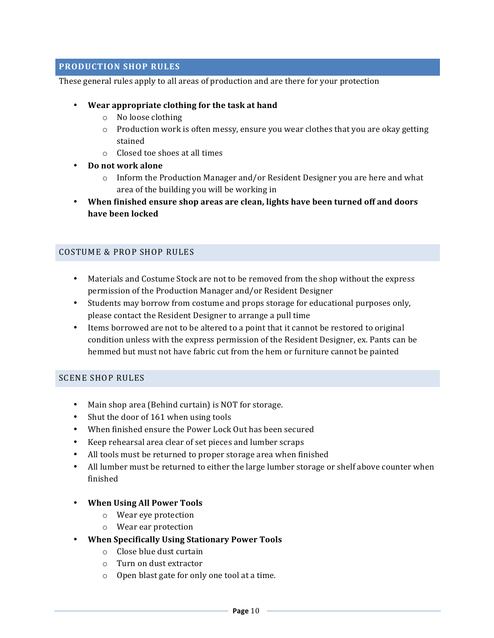# **PRODUCTION SHOP RULES**

These general rules apply to all areas of production and are there for your protection

- Wear appropriate clothing for the task at hand
	- o No loose clothing
	- $\circ$  Production work is often messy, ensure you wear clothes that you are okay getting stained
	- $\circ$  Closed toe shoes at all times
- **Do not work alone**
	- $\circ$  Inform the Production Manager and/or Resident Designer you are here and what area of the building you will be working in
- When finished ensure shop areas are clean, lights have been turned off and doors **have been locked**

#### COSTUME & PROP SHOP RULES

- Materials and Costume Stock are not to be removed from the shop without the express permission of the Production Manager and/or Resident Designer
- Students may borrow from costume and props storage for educational purposes only, please contact the Resident Designer to arrange a pull time
- Items borrowed are not to be altered to a point that it cannot be restored to original condition unless with the express permission of the Resident Designer, ex. Pants can be hemmed but must not have fabric cut from the hem or furniture cannot be painted

#### SCENE SHOP RULES

- Main shop area (Behind curtain) is NOT for storage.
- Shut the door of 161 when using tools
- When finished ensure the Power Lock Out has been secured
- Keep rehearsal area clear of set pieces and lumber scraps
- All tools must be returned to proper storage area when finished
- All lumber must be returned to either the large lumber storage or shelf above counter when finished
- **When Using All Power Tools**
	- $\circ$  Wear eve protection
	- o Wear ear protection
- **When Specifically Using Stationary Power Tools**
	- $\circ$  Close blue dust curtain
	- o Turn on dust extractor
	- $\circ$  Open blast gate for only one tool at a time.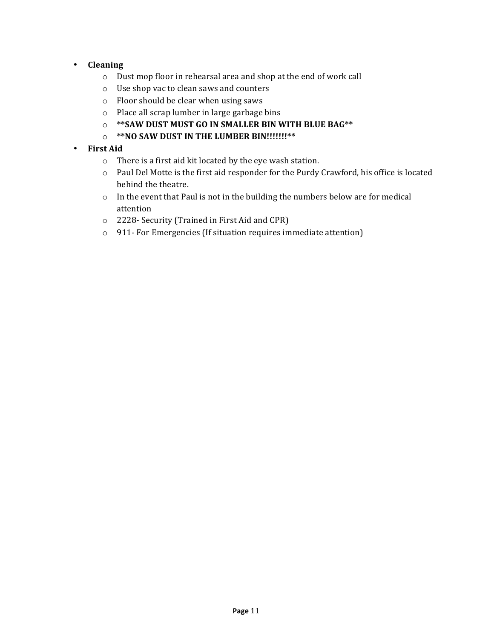# • **Cleaning**

- $\circ$  Dust mop floor in rehearsal area and shop at the end of work call
- $\circ$  Use shop vac to clean saws and counters
- $\circ$  Floor should be clear when using saws
- $\circ$  Place all scrap lumber in large garbage bins
- $\circ$  \*\*SAW DUST MUST GO IN SMALLER BIN WITH BLUE BAG\*\*
- $\circ$  \*\*NO SAW DUST IN THE LUMBER BIN!!!!!!!\*\*

# • **First Aid**

- $\circ$  There is a first aid kit located by the eye wash station.
- o Paul Del Motte is the first aid responder for the Purdy Crawford, his office is located behind the theatre.
- $\circ$  In the event that Paul is not in the building the numbers below are for medical attention
- o 2228- Security (Trained in First Aid and CPR)
- $\circ$  911- For Emergencies (If situation requires immediate attention)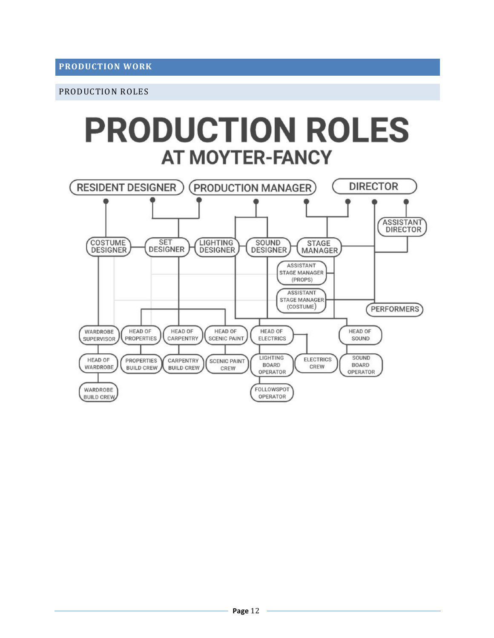#### PRODUCTION ROLES

# **PRODUCTION ROLES AT MOYTER-FANCY**

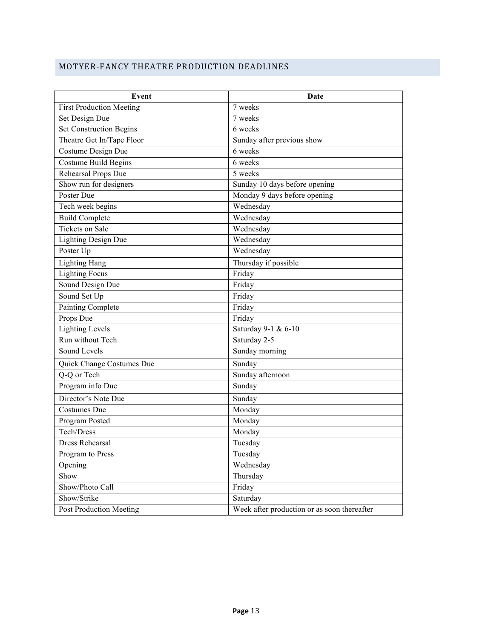# MOTYER-FANCY THEATRE PRODUCTION DEADLINES

| Event                           | Date                                        |
|---------------------------------|---------------------------------------------|
| <b>First Production Meeting</b> | 7 weeks                                     |
| Set Design Due                  | 7 weeks                                     |
| <b>Set Construction Begins</b>  | 6 weeks                                     |
| Theatre Get In/Tape Floor       | Sunday after previous show                  |
| Costume Design Due              | 6 weeks                                     |
| <b>Costume Build Begins</b>     | 6 weeks                                     |
| Rehearsal Props Due             | 5 weeks                                     |
| Show run for designers          | Sunday 10 days before opening               |
| Poster Due                      | Monday 9 days before opening                |
| Tech week begins                | Wednesday                                   |
| <b>Build Complete</b>           | Wednesday                                   |
| <b>Tickets on Sale</b>          | Wednesday                                   |
| <b>Lighting Design Due</b>      | Wednesday                                   |
| Poster Up                       | Wednesday                                   |
| <b>Lighting Hang</b>            | Thursday if possible                        |
| <b>Lighting Focus</b>           | Friday                                      |
| Sound Design Due                | Friday                                      |
| Sound Set Up                    | Friday                                      |
| Painting Complete               | Friday                                      |
| Props Due                       | Friday                                      |
| <b>Lighting Levels</b>          | Saturday 9-1 & 6-10                         |
| Run without Tech                | Saturday 2-5                                |
| Sound Levels                    | Sunday morning                              |
| Quick Change Costumes Due       | Sunday                                      |
| Q-Q or Tech                     | Sunday afternoon                            |
| Program info Due                | Sunday                                      |
| Director's Note Due             | Sunday                                      |
| <b>Costumes Due</b>             | Monday                                      |
| Program Posted                  | Monday                                      |
| Tech/Dress                      | Monday                                      |
| <b>Dress Rehearsal</b>          | Tuesday                                     |
| Program to Press                | Tuesday                                     |
| Opening                         | Wednesday                                   |
| Show                            | Thursday                                    |
| Show/Photo Call                 | Friday                                      |
| Show/Strike                     | Saturday                                    |
| Post Production Meeting         | Week after production or as soon thereafter |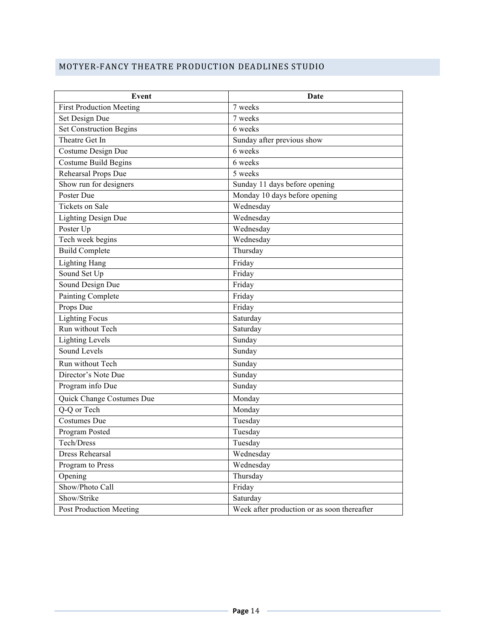# MOTYER-FANCY THEATRE PRODUCTION DEADLINES STUDIO

| Event                           | Date                                        |
|---------------------------------|---------------------------------------------|
| <b>First Production Meeting</b> | 7 weeks                                     |
| Set Design Due                  | 7 weeks                                     |
| <b>Set Construction Begins</b>  | 6 weeks                                     |
| Theatre Get In                  | Sunday after previous show                  |
| Costume Design Due              | 6 weeks                                     |
| <b>Costume Build Begins</b>     | 6 weeks                                     |
| Rehearsal Props Due             | 5 weeks                                     |
| Show run for designers          | Sunday 11 days before opening               |
| Poster Due                      | Monday 10 days before opening               |
| <b>Tickets on Sale</b>          | Wednesday                                   |
| <b>Lighting Design Due</b>      | Wednesday                                   |
| Poster Up                       | Wednesday                                   |
| Tech week begins                | Wednesday                                   |
| <b>Build Complete</b>           | Thursday                                    |
| <b>Lighting Hang</b>            | Friday                                      |
| Sound Set Up                    | Friday                                      |
| Sound Design Due                | Friday                                      |
| <b>Painting Complete</b>        | Friday                                      |
| Props Due                       | Friday                                      |
| <b>Lighting Focus</b>           | Saturday                                    |
| Run without Tech                | Saturday                                    |
| <b>Lighting Levels</b>          | Sunday                                      |
| Sound Levels                    | Sunday                                      |
| Run without Tech                | Sunday                                      |
| Director's Note Due             | Sunday                                      |
| Program info Due                | Sunday                                      |
| Quick Change Costumes Due       | Monday                                      |
| Q-Q or Tech                     | Monday                                      |
| Costumes Due                    | Tuesday                                     |
| Program Posted                  | Tuesday                                     |
| Tech/Dress                      | Tuesday                                     |
| Dress Rehearsal                 | Wednesday                                   |
| Program to Press                | Wednesday                                   |
| Opening                         | Thursday                                    |
| Show/Photo Call                 | Friday                                      |
| Show/Strike                     | Saturday                                    |
| Post Production Meeting         | Week after production or as soon thereafter |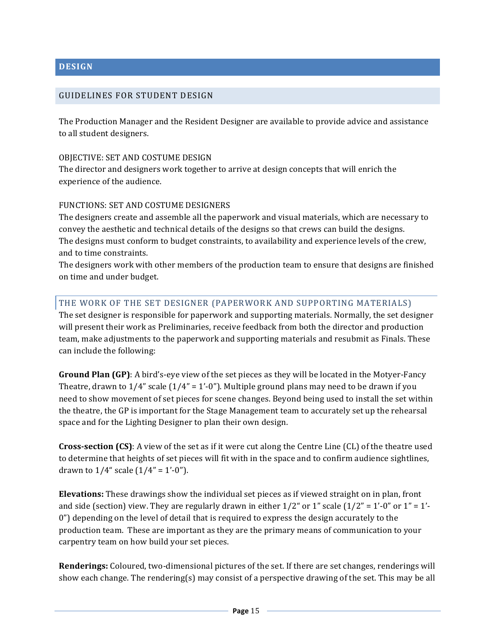# **DESIGN**

# GUIDELINES FOR STUDENT DESIGN

The Production Manager and the Resident Designer are available to provide advice and assistance to all student designers.

#### OBJECTIVE: SET AND COSTUME DESIGN

The director and designers work together to arrive at design concepts that will enrich the experience of the audience.

#### FUNCTIONS: SET AND COSTUME DESIGNERS

The designers create and assemble all the paperwork and visual materials, which are necessary to convey the aesthetic and technical details of the designs so that crews can build the designs. The designs must conform to budget constraints, to availability and experience levels of the crew, and to time constraints.

The designers work with other members of the production team to ensure that designs are finished on time and under budget.

#### THE WORK OF THE SET DESIGNER (PAPERWORK AND SUPPORTING MATERIALS)

The set designer is responsible for paperwork and supporting materials. Normally, the set designer will present their work as Preliminaries, receive feedback from both the director and production team, make adjustments to the paperwork and supporting materials and resubmit as Finals. These can include the following:

**Ground Plan (GP)**: A bird's-eye view of the set pieces as they will be located in the Motyer-Fancy Theatre, drawn to  $1/4$ " scale  $(1/4" = 1'-0"$ . Multiple ground plans may need to be drawn if you need to show movement of set pieces for scene changes. Beyond being used to install the set within the theatre, the GP is important for the Stage Management team to accurately set up the rehearsal space and for the Lighting Designer to plan their own design.

**Cross-section (CS)**: A view of the set as if it were cut along the Centre Line (CL) of the theatre used to determine that heights of set pieces will fit with in the space and to confirm audience sightlines, drawn to  $1/4$ " scale  $(1/4" = 1'-0")$ .

**Elevations:** These drawings show the individual set pieces as if viewed straight on in plan, front and side (section) view. They are regularly drawn in either  $1/2$ " or  $1$ " scale  $(1/2" = 1'-0"$  or  $1" = 1'-1$  $0$ ") depending on the level of detail that is required to express the design accurately to the production team. These are important as they are the primary means of communication to your carpentry team on how build your set pieces.

**Renderings:** Coloured, two-dimensional pictures of the set. If there are set changes, renderings will show each change. The rendering(s) may consist of a perspective drawing of the set. This may be all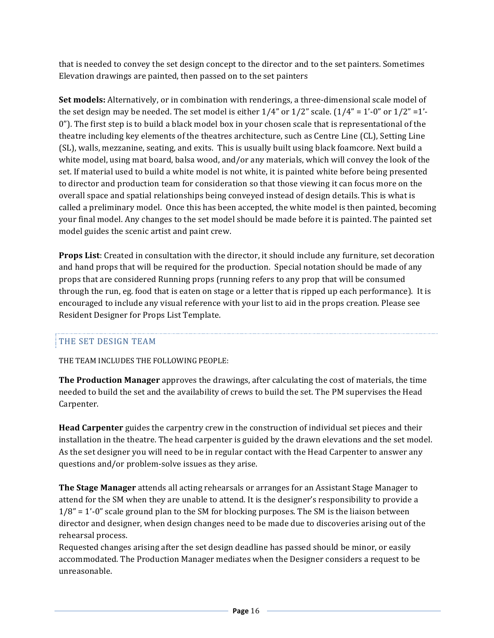that is needed to convey the set design concept to the director and to the set painters. Sometimes Elevation drawings are painted, then passed on to the set painters

**Set models:** Alternatively, or in combination with renderings, a three-dimensional scale model of the set design may be needed. The set model is either  $1/4$ " or  $1/2$ " scale.  $(1/4" = 1'-0"$  or  $1/2" = 1'-1'$ 0"). The first step is to build a black model box in your chosen scale that is representational of the theatre including key elements of the theatres architecture, such as Centre Line (CL), Setting Line (SL), walls, mezzanine, seating, and exits. This is usually built using black foamcore. Next build a white model, using mat board, balsa wood, and/or any materials, which will convey the look of the set. If material used to build a white model is not white, it is painted white before being presented to director and production team for consideration so that those viewing it can focus more on the overall space and spatial relationships being conveyed instead of design details. This is what is called a preliminary model. Once this has been accepted, the white model is then painted, becoming your final model. Any changes to the set model should be made before it is painted. The painted set model guides the scenic artist and paint crew.

**Props List**: Created in consultation with the director, it should include any furniture, set decoration and hand props that will be required for the production. Special notation should be made of any props that are considered Running props (running refers to any prop that will be consumed through the run, eg. food that is eaten on stage or a letter that is ripped up each performance). It is encouraged to include any visual reference with your list to aid in the props creation. Please see Resident Designer for Props List Template.

# THE SET DESIGN TEAM

THE TEAM INCLUDES THE FOLLOWING PEOPLE:

**The Production Manager** approves the drawings, after calculating the cost of materials, the time needed to build the set and the availability of crews to build the set. The PM supervises the Head Carpenter.

**Head Carpenter** guides the carpentry crew in the construction of individual set pieces and their installation in the theatre. The head carpenter is guided by the drawn elevations and the set model. As the set designer you will need to be in regular contact with the Head Carpenter to answer any questions and/or problem-solve issues as they arise.

**The Stage Manager** attends all acting rehearsals or arranges for an Assistant Stage Manager to attend for the SM when they are unable to attend. It is the designer's responsibility to provide a  $1/8$ " = 1'-0" scale ground plan to the SM for blocking purposes. The SM is the liaison between director and designer, when design changes need to be made due to discoveries arising out of the rehearsal process.

Requested changes arising after the set design deadline has passed should be minor, or easily accommodated. The Production Manager mediates when the Designer considers a request to be unreasonable.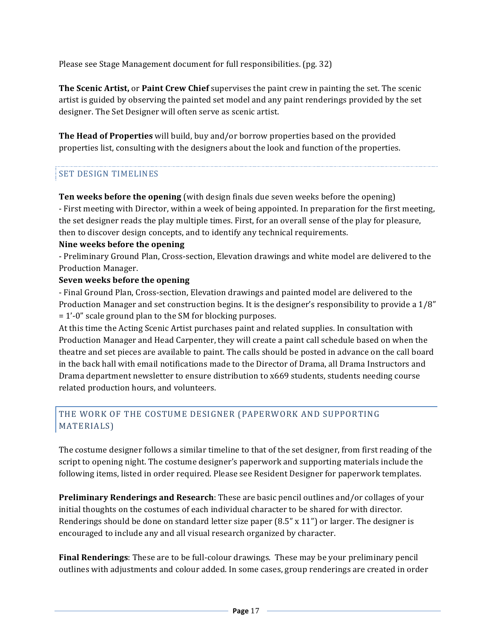Please see Stage Management document for full responsibilities. (pg. 32)

**The Scenic Artist, or Paint Crew Chief** supervises the paint crew in painting the set. The scenic artist is guided by observing the painted set model and any paint renderings provided by the set designer. The Set Designer will often serve as scenic artist.

**The Head of Properties** will build, buy and/or borrow properties based on the provided properties list, consulting with the designers about the look and function of the properties.

# SET DESIGN TIMELINES

**Ten weeks before the opening** (with design finals due seven weeks before the opening) - First meeting with Director, within a week of being appointed. In preparation for the first meeting, the set designer reads the play multiple times. First, for an overall sense of the play for pleasure, then to discover design concepts, and to identify any technical requirements.

#### **Nine weeks before the opening**

- Preliminary Ground Plan, Cross-section, Elevation drawings and white model are delivered to the Production Manager.

#### **Seven weeks before the opening**

- Final Ground Plan, Cross-section, Elevation drawings and painted model are delivered to the Production Manager and set construction begins. It is the designer's responsibility to provide a  $1/8$ "  $= 1'$ -0" scale ground plan to the SM for blocking purposes.

At this time the Acting Scenic Artist purchases paint and related supplies. In consultation with Production Manager and Head Carpenter, they will create a paint call schedule based on when the theatre and set pieces are available to paint. The calls should be posted in advance on the call board in the back hall with email notifications made to the Director of Drama, all Drama Instructors and Drama department newsletter to ensure distribution to x669 students, students needing course related production hours, and volunteers.

# THE WORK OF THE COSTUME DESIGNER (PAPERWORK AND SUPPORTING MATERIALS)

The costume designer follows a similar timeline to that of the set designer, from first reading of the script to opening night. The costume designer's paperwork and supporting materials include the following items, listed in order required. Please see Resident Designer for paperwork templates.

**Preliminary Renderings and Research**: These are basic pencil outlines and/or collages of your initial thoughts on the costumes of each individual character to be shared for with director. Renderings should be done on standard letter size paper  $(8.5" \times 11")$  or larger. The designer is encouraged to include any and all visual research organized by character.

**Final Renderings**: These are to be full-colour drawings. These may be your preliminary pencil outlines with adjustments and colour added. In some cases, group renderings are created in order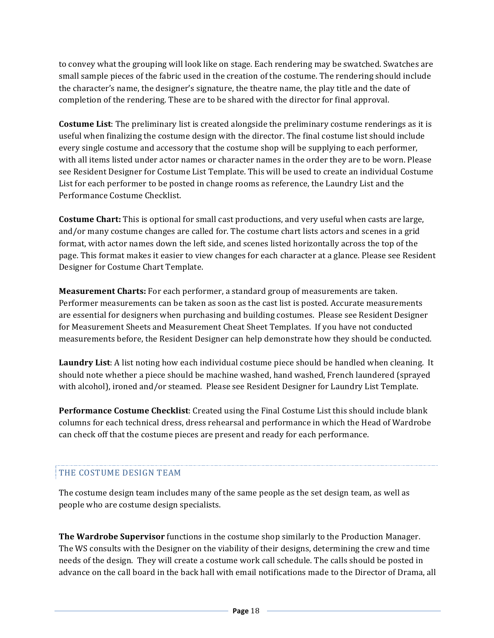to convey what the grouping will look like on stage. Each rendering may be swatched. Swatches are small sample pieces of the fabric used in the creation of the costume. The rendering should include the character's name, the designer's signature, the theatre name, the play title and the date of completion of the rendering. These are to be shared with the director for final approval.

**Costume List**: The preliminary list is created alongside the preliminary costume renderings as it is useful when finalizing the costume design with the director. The final costume list should include every single costume and accessory that the costume shop will be supplying to each performer, with all items listed under actor names or character names in the order they are to be worn. Please see Resident Designer for Costume List Template. This will be used to create an individual Costume List for each performer to be posted in change rooms as reference, the Laundry List and the Performance Costume Checklist.

**Costume Chart:** This is optional for small cast productions, and very useful when casts are large, and/or many costume changes are called for. The costume chart lists actors and scenes in a grid format, with actor names down the left side, and scenes listed horizontally across the top of the page. This format makes it easier to view changes for each character at a glance. Please see Resident Designer for Costume Chart Template.

**Measurement Charts:** For each performer, a standard group of measurements are taken. Performer measurements can be taken as soon as the cast list is posted. Accurate measurements are essential for designers when purchasing and building costumes. Please see Resident Designer for Measurement Sheets and Measurement Cheat Sheet Templates. If you have not conducted measurements before, the Resident Designer can help demonstrate how they should be conducted.

**Laundry List**: A list noting how each individual costume piece should be handled when cleaning. It should note whether a piece should be machine washed, hand washed, French laundered (sprayed with alcohol), ironed and/or steamed. Please see Resident Designer for Laundry List Template.

**Performance Costume Checklist:** Created using the Final Costume List this should include blank columns for each technical dress, dress rehearsal and performance in which the Head of Wardrobe can check off that the costume pieces are present and ready for each performance.

# THE COSTUME DESIGN TEAM

The costume design team includes many of the same people as the set design team, as well as people who are costume design specialists.

**The Wardrobe Supervisor** functions in the costume shop similarly to the Production Manager. The WS consults with the Designer on the viability of their designs, determining the crew and time needs of the design. They will create a costume work call schedule. The calls should be posted in advance on the call board in the back hall with email notifications made to the Director of Drama, all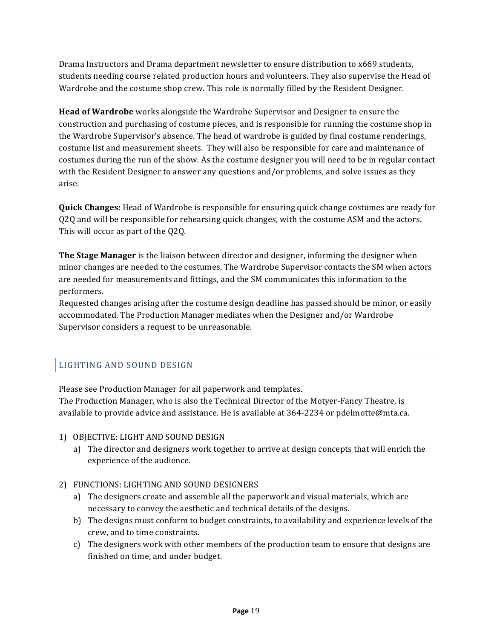Drama Instructors and Drama department newsletter to ensure distribution to x669 students, students needing course related production hours and volunteers. They also supervise the Head of Wardrobe and the costume shop crew. This role is normally filled by the Resident Designer.

**Head of Wardrobe** works alongside the Wardrobe Supervisor and Designer to ensure the construction and purchasing of costume pieces, and is responsible for running the costume shop in the Wardrobe Supervisor's absence. The head of wardrobe is guided by final costume renderings, costume list and measurement sheets. They will also be responsible for care and maintenance of costumes during the run of the show. As the costume designer you will need to be in regular contact with the Resident Designer to answer any questions and/or problems, and solve issues as they arise. 

**Quick Changes:** Head of Wardrobe is responsible for ensuring quick change costumes are ready for Q2Q and will be responsible for rehearsing quick changes, with the costume ASM and the actors. This will occur as part of the Q2Q.

**The Stage Manager** is the liaison between director and designer, informing the designer when minor changes are needed to the costumes. The Wardrobe Supervisor contacts the SM when actors are needed for measurements and fittings, and the SM communicates this information to the performers.

Requested changes arising after the costume design deadline has passed should be minor, or easily accommodated. The Production Manager mediates when the Designer and/or Wardrobe Supervisor considers a request to be unreasonable.

# LIGHTING AND SOUND DESIGN

Please see Production Manager for all paperwork and templates.

The Production Manager, who is also the Technical Director of the Motyer-Fancy Theatre, is available to provide advice and assistance. He is available at  $364-2234$  or pdelmotte@mta.ca.

- 1) OBJECTIVE: LIGHT AND SOUND DESIGN
	- a) The director and designers work together to arrive at design concepts that will enrich the experience of the audience.
- 2) FUNCTIONS: LIGHTING AND SOUND DESIGNERS
	- a) The designers create and assemble all the paperwork and visual materials, which are necessary to convey the aesthetic and technical details of the designs.
	- b) The designs must conform to budget constraints, to availability and experience levels of the crew, and to time constraints.
	- c) The designers work with other members of the production team to ensure that designs are finished on time, and under budget.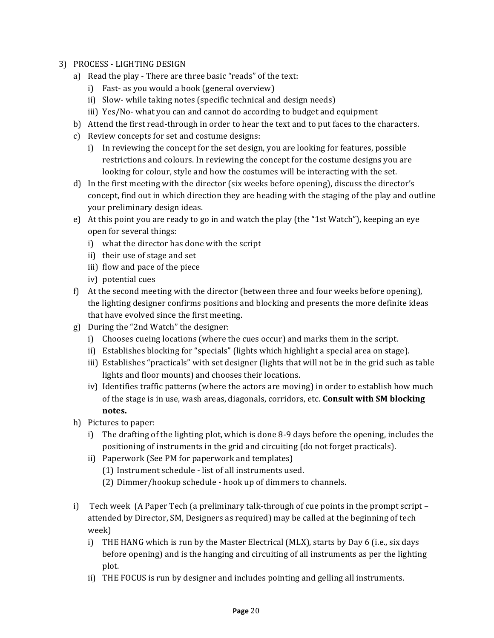- 3) PROCESS LIGHTING DESIGN
	- a) Read the play There are three basic "reads" of the text:
		- i) Fast- as you would a book (general overview)
		- ii) Slow- while taking notes (specific technical and design needs)
		- iii) Yes/No- what you can and cannot do according to budget and equipment
	- b) Attend the first read-through in order to hear the text and to put faces to the characters.
	- c) Review concepts for set and costume designs:
		- i) In reviewing the concept for the set design, you are looking for features, possible restrictions and colours. In reviewing the concept for the costume designs you are looking for colour, style and how the costumes will be interacting with the set.
	- d) In the first meeting with the director (six weeks before opening), discuss the director's concept, find out in which direction they are heading with the staging of the play and outline your preliminary design ideas.
	- e) At this point you are ready to go in and watch the play (the "1st Watch"), keeping an eye open for several things:
		- i) what the director has done with the script
		- ii) their use of stage and set
		- iii) flow and pace of the piece
		- iv) potential cues
	- f) At the second meeting with the director (between three and four weeks before opening), the lighting designer confirms positions and blocking and presents the more definite ideas that have evolved since the first meeting.
	- g) During the "2nd Watch" the designer:
		- i) Chooses cueing locations (where the cues occur) and marks them in the script.
		- ii) Establishes blocking for "specials" (lights which highlight a special area on stage).
		- iii) Establishes "practicals" with set designer (lights that will not be in the grid such as table lights and floor mounts) and chooses their locations.
		- iv) Identifies traffic patterns (where the actors are moving) in order to establish how much of the stage is in use, wash areas, diagonals, corridors, etc. **Consult with SM blocking notes.**
	- h) Pictures to paper:
		- i) The drafting of the lighting plot, which is done 8-9 days before the opening, includes the positioning of instruments in the grid and circuiting (do not forget practicals).
		- ii) Paperwork (See PM for paperwork and templates)
			- (1) Instrument schedule list of all instruments used.
			- (2) Dimmer/hookup schedule hook up of dimmers to channels.
	- i) Tech week (A Paper Tech (a preliminary talk-through of cue points in the prompt script attended by Director, SM, Designers as required) may be called at the beginning of tech week)
		- i) THE HANG which is run by the Master Electrical (MLX), starts by Day 6 (i.e., six days before opening) and is the hanging and circuiting of all instruments as per the lighting plot.
		- ii) THE FOCUS is run by designer and includes pointing and gelling all instruments.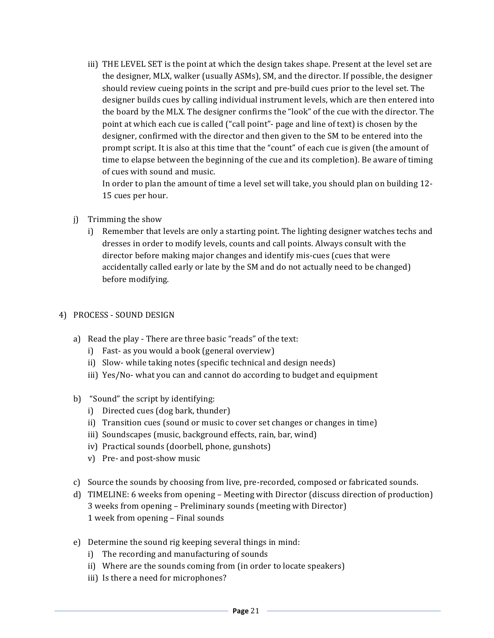iii) THE LEVEL SET is the point at which the design takes shape. Present at the level set are the designer, MLX, walker (usually ASMs), SM, and the director. If possible, the designer should review cueing points in the script and pre-build cues prior to the level set. The designer builds cues by calling individual instrument levels, which are then entered into the board by the MLX. The designer confirms the "look" of the cue with the director. The point at which each cue is called ("call point"- page and line of text) is chosen by the designer, confirmed with the director and then given to the SM to be entered into the prompt script. It is also at this time that the "count" of each cue is given (the amount of time to elapse between the beginning of the cue and its completion). Be aware of timing of cues with sound and music.

In order to plan the amount of time a level set will take, you should plan on building 12-15 cues per hour.

- j) Trimming the show
	- i) Remember that levels are only a starting point. The lighting designer watches techs and dresses in order to modify levels, counts and call points. Always consult with the director before making major changes and identify mis-cues (cues that were accidentally called early or late by the SM and do not actually need to be changed) before modifying.

#### 4) PROCESS - SOUND DESIGN

- a) Read the play There are three basic "reads" of the text:
	- i) Fast- as you would a book (general overview)
	- ii) Slow- while taking notes (specific technical and design needs)
	- iii) Yes/No- what you can and cannot do according to budget and equipment
- b) "Sound" the script by identifying:
	- i) Directed cues (dog bark, thunder)
	- ii) Transition cues (sound or music to cover set changes or changes in time)
	- iii) Soundscapes (music, background effects, rain, bar, wind)
	- iv) Practical sounds (doorbell, phone, gunshots)
	- v) Pre- and post-show music
- c) Source the sounds by choosing from live, pre-recorded, composed or fabricated sounds.
- d) TIMELINE: 6 weeks from opening Meeting with Director (discuss direction of production) 3 weeks from opening – Preliminary sounds (meeting with Director) 1 week from opening - Final sounds
- e) Determine the sound rig keeping several things in mind:
	- i) The recording and manufacturing of sounds
	- ii) Where are the sounds coming from (in order to locate speakers)
	- iii) Is there a need for microphones?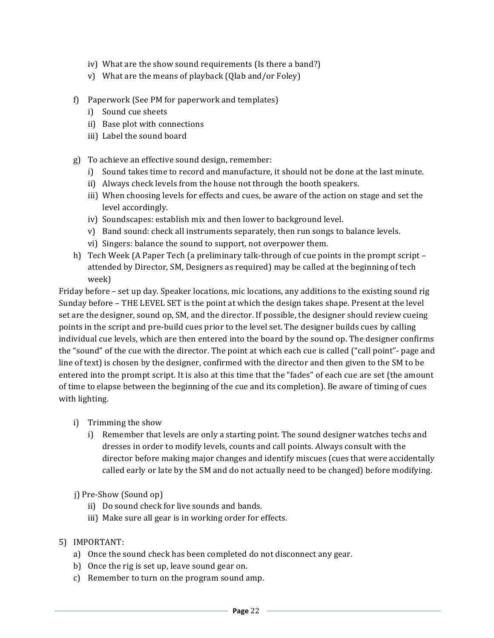- iv) What are the show sound requirements (Is there a band?)
- v) What are the means of playback  $(Q$ lab and/or Foley)
- f) Paperwork (See PM for paperwork and templates)
	- i) Sound cue sheets
	- ii) Base plot with connections
	- iii) Label the sound board
- g) To achieve an effective sound design, remember:
	- i) Sound takes time to record and manufacture, it should not be done at the last minute.
	- ii) Always check levels from the house not through the booth speakers.
	- iii) When choosing levels for effects and cues, be aware of the action on stage and set the level accordingly.
	- iv) Soundscapes: establish mix and then lower to background level.
	- v) Band sound: check all instruments separately, then run songs to balance levels.
	- vi) Singers: balance the sound to support, not overpower them.
- h) Tech Week (A Paper Tech (a preliminary talk-through of cue points in the prompt script attended by Director, SM, Designers as required) may be called at the beginning of tech week)

Friday before – set up day. Speaker locations, mic locations, any additions to the existing sound rig Sunday before – THE LEVEL SET is the point at which the design takes shape. Present at the level set are the designer, sound op, SM, and the director. If possible, the designer should review cueing points in the script and pre-build cues prior to the level set. The designer builds cues by calling individual cue levels, which are then entered into the board by the sound op. The designer confirms the "sound" of the cue with the director. The point at which each cue is called ("call point"- page and line of text) is chosen by the designer, confirmed with the director and then given to the SM to be entered into the prompt script. It is also at this time that the "fades" of each cue are set (the amount of time to elapse between the beginning of the cue and its completion). Be aware of timing of cues with lighting.

- i) Trimming the show
	- i) Remember that levels are only a starting point. The sound designer watches techs and dresses in order to modify levels, counts and call points. Always consult with the director before making major changes and identify miscues (cues that were accidentally called early or late by the SM and do not actually need to be changed) before modifying.
- j) Pre-Show (Sound op)
	- ii) Do sound check for live sounds and bands.
	- iii) Make sure all gear is in working order for effects.
- 5) IMPORTANT:
	- a) Once the sound check has been completed do not disconnect any gear.
	- b) Once the rig is set up, leave sound gear on.
	- c) Remember to turn on the program sound amp.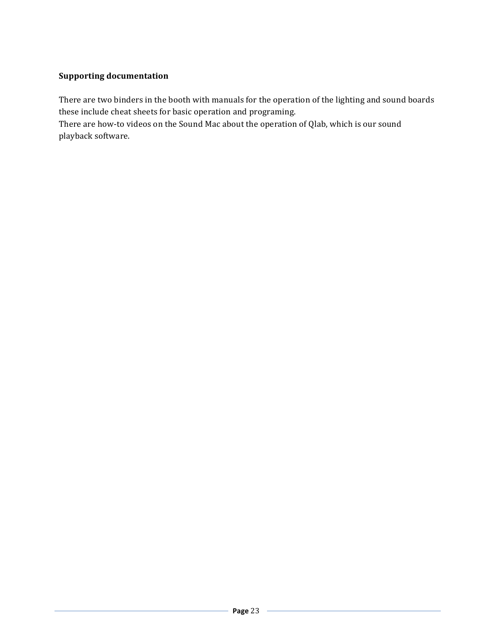# **Supporting documentation**

There are two binders in the booth with manuals for the operation of the lighting and sound boards these include cheat sheets for basic operation and programing.

There are how-to videos on the Sound Mac about the operation of Qlab, which is our sound playback software.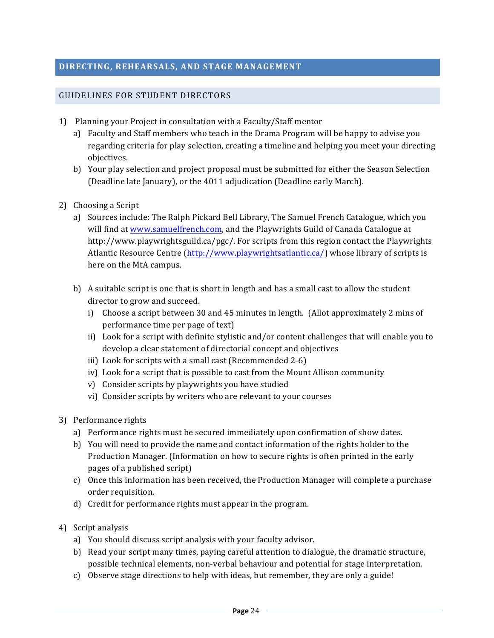# GUIDELINES FOR STUDENT DIRECTORS

- 1) Planning your Project in consultation with a Faculty/Staff mentor
	- a) Faculty and Staff members who teach in the Drama Program will be happy to advise you regarding criteria for play selection, creating a timeline and helping you meet your directing objectives.
	- b) Your play selection and project proposal must be submitted for either the Season Selection (Deadline late January), or the 4011 adjudication (Deadline early March).
- 2) Choosing a Script
	- a) Sources include: The Ralph Pickard Bell Library, The Samuel French Catalogue, which you will find at www.samuelfrench.com, and the Playwrights Guild of Canada Catalogue at http://www.playwrightsguild.ca/pgc/. For scripts from this region contact the Playwrights Atlantic Resource Centre  $\frac{\text{http://www.playwright}statlantic.ca/\text{whose library of scripts is}$ here on the MtA campus.
	- b) A suitable script is one that is short in length and has a small cast to allow the student director to grow and succeed.
		- i) Choose a script between 30 and 45 minutes in length. (Allot approximately 2 mins of performance time per page of text)
		- ii) Look for a script with definite stylistic and/or content challenges that will enable you to develop a clear statement of directorial concept and objectives
		- iii) Look for scripts with a small cast (Recommended 2-6)
		- iv) Look for a script that is possible to cast from the Mount Allison community
		- v) Consider scripts by playwrights you have studied
		- vi) Consider scripts by writers who are relevant to your courses
- 3) Performance rights
	- a) Performance rights must be secured immediately upon confirmation of show dates.
	- b) You will need to provide the name and contact information of the rights holder to the Production Manager. (Information on how to secure rights is often printed in the early pages of a published script)
	- c) Once this information has been received, the Production Manager will complete a purchase order requisition.
	- d) Credit for performance rights must appear in the program.
- 4) Script analysis
	- a) You should discuss script analysis with your faculty advisor.
	- b) Read your script many times, paying careful attention to dialogue, the dramatic structure, possible technical elements, non-verbal behaviour and potential for stage interpretation.
	- c) Observe stage directions to help with ideas, but remember, they are only a guide!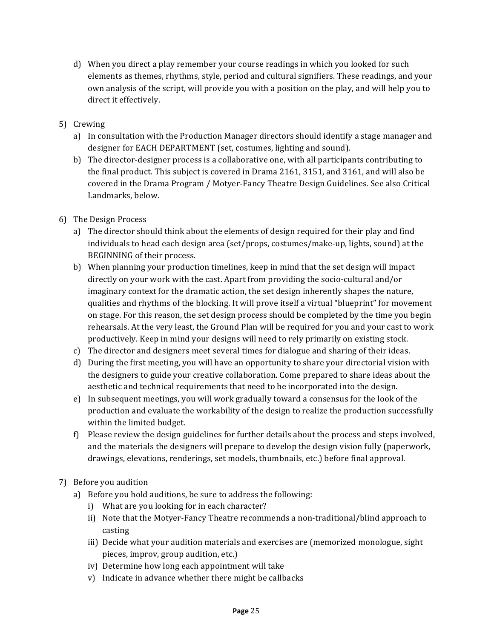- d) When you direct a play remember your course readings in which you looked for such elements as themes, rhythms, style, period and cultural signifiers. These readings, and your own analysis of the script, will provide you with a position on the play, and will help you to direct it effectively.
- 5) Crewing
	- a) In consultation with the Production Manager directors should identify a stage manager and designer for EACH DEPARTMENT (set, costumes, lighting and sound).
	- b) The director-designer process is a collaborative one, with all participants contributing to the final product. This subject is covered in Drama 2161, 3151, and 3161, and will also be covered in the Drama Program / Motyer-Fancy Theatre Design Guidelines. See also Critical Landmarks, below.
- 6) The Design Process
	- a) The director should think about the elements of design required for their play and find individuals to head each design area (set/props, costumes/make-up, lights, sound) at the BEGINNING of their process.
	- b) When planning your production timelines, keep in mind that the set design will impact directly on your work with the cast. Apart from providing the socio-cultural and/or imaginary context for the dramatic action, the set design inherently shapes the nature, qualities and rhythms of the blocking. It will prove itself a virtual "blueprint" for movement on stage. For this reason, the set design process should be completed by the time you begin rehearsals. At the very least, the Ground Plan will be required for you and your cast to work productively. Keep in mind your designs will need to rely primarily on existing stock.
	- c) The director and designers meet several times for dialogue and sharing of their ideas.
	- d) During the first meeting, you will have an opportunity to share your directorial vision with the designers to guide your creative collaboration. Come prepared to share ideas about the aesthetic and technical requirements that need to be incorporated into the design.
	- e) In subsequent meetings, you will work gradually toward a consensus for the look of the production and evaluate the workability of the design to realize the production successfully within the limited budget.
	- f) Please review the design guidelines for further details about the process and steps involved, and the materials the designers will prepare to develop the design vision fully (paperwork, drawings, elevations, renderings, set models, thumbnails, etc.) before final approval.
- 7) Before you audition
	- a) Before you hold auditions, be sure to address the following:
		- i) What are you looking for in each character?
		- ii) Note that the Motyer-Fancy Theatre recommends a non-traditional/blind approach to casting
		- iii) Decide what your audition materials and exercises are (memorized monologue, sight pieces, improv, group audition, etc.)
		- iv) Determine how long each appointment will take
		- v) Indicate in advance whether there might be callbacks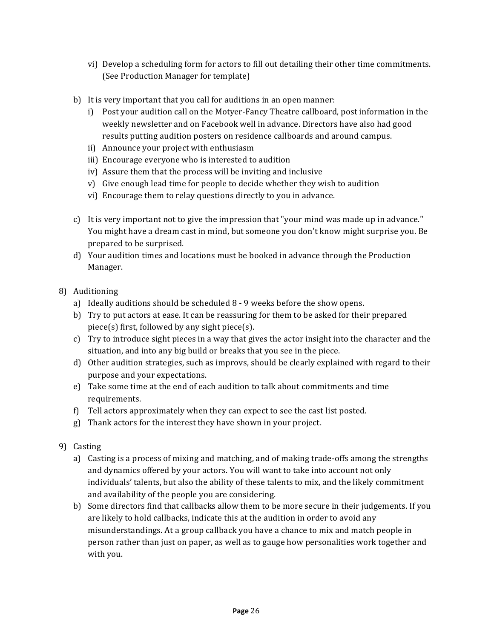- vi) Develop a scheduling form for actors to fill out detailing their other time commitments. (See Production Manager for template)
- b) It is very important that you call for auditions in an open manner:
	- i) Post your audition call on the Motyer-Fancy Theatre callboard, post information in the weekly newsletter and on Facebook well in advance. Directors have also had good results putting audition posters on residence callboards and around campus.
	- ii) Announce your project with enthusiasm
	- iii) Encourage everyone who is interested to audition
	- iv) Assure them that the process will be inviting and inclusive
	- v) Give enough lead time for people to decide whether they wish to audition
	- vi) Encourage them to relay questions directly to you in advance.
- c) It is very important not to give the impression that "your mind was made up in advance." You might have a dream cast in mind, but someone you don't know might surprise you. Be prepared to be surprised.
- d) Your audition times and locations must be booked in advance through the Production Manager.
- 8) Auditioning
	- a) Ideally auditions should be scheduled  $8 9$  weeks before the show opens.
	- b) Try to put actors at ease. It can be reassuring for them to be asked for their prepared piece(s) first, followed by any sight piece(s).
	- c) Try to introduce sight pieces in a way that gives the actor insight into the character and the situation, and into any big build or breaks that you see in the piece.
	- d) Other audition strategies, such as improvs, should be clearly explained with regard to their purpose and your expectations.
	- e) Take some time at the end of each audition to talk about commitments and time requirements.
	- f) Tell actors approximately when they can expect to see the cast list posted.
	- g) Thank actors for the interest they have shown in your project.
- 9) Casting
	- a) Casting is a process of mixing and matching, and of making trade-offs among the strengths and dynamics offered by your actors. You will want to take into account not only individuals' talents, but also the ability of these talents to mix, and the likely commitment and availability of the people you are considering.
	- b) Some directors find that callbacks allow them to be more secure in their judgements. If you are likely to hold callbacks, indicate this at the audition in order to avoid any misunderstandings. At a group callback you have a chance to mix and match people in person rather than just on paper, as well as to gauge how personalities work together and with you.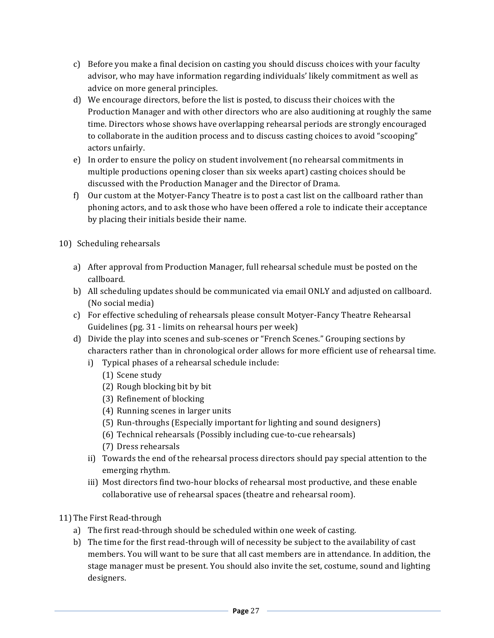- c) Before you make a final decision on casting you should discuss choices with your faculty advisor, who may have information regarding individuals' likely commitment as well as advice on more general principles.
- d) We encourage directors, before the list is posted, to discuss their choices with the Production Manager and with other directors who are also auditioning at roughly the same time. Directors whose shows have overlapping rehearsal periods are strongly encouraged to collaborate in the audition process and to discuss casting choices to avoid "scooping" actors unfairly.
- e) In order to ensure the policy on student involvement (no rehearsal commitments in multiple productions opening closer than six weeks apart) casting choices should be discussed with the Production Manager and the Director of Drama.
- f) Our custom at the Motyer-Fancy Theatre is to post a cast list on the callboard rather than phoning actors, and to ask those who have been offered a role to indicate their acceptance by placing their initials beside their name.
- 10) Scheduling rehearsals
	- a) After approval from Production Manager, full rehearsal schedule must be posted on the callboard.
	- b) All scheduling updates should be communicated via email ONLY and adjusted on callboard. (No social media)
	- c) For effective scheduling of rehearsals please consult Motyer-Fancy Theatre Rehearsal Guidelines (pg. 31 - limits on rehearsal hours per week)
	- d) Divide the play into scenes and sub-scenes or "French Scenes." Grouping sections by characters rather than in chronological order allows for more efficient use of rehearsal time.
		- i) Typical phases of a rehearsal schedule include:
			- (1) Scene study
			- (2) Rough blocking bit by bit
			- (3) Refinement of blocking
			- (4) Running scenes in larger units
			- (5) Run-throughs (Especially important for lighting and sound designers)
			- (6) Technical rehearsals (Possibly including cue-to-cue rehearsals)
			- (7) Dress rehearsals
		- ii) Towards the end of the rehearsal process directors should pay special attention to the emerging rhythm.
		- iii) Most directors find two-hour blocks of rehearsal most productive, and these enable collaborative use of rehearsal spaces (theatre and rehearsal room).
- 11) The First Read-through
	- a) The first read-through should be scheduled within one week of casting.
	- b) The time for the first read-through will of necessity be subject to the availability of cast members. You will want to be sure that all cast members are in attendance. In addition, the stage manager must be present. You should also invite the set, costume, sound and lighting designers.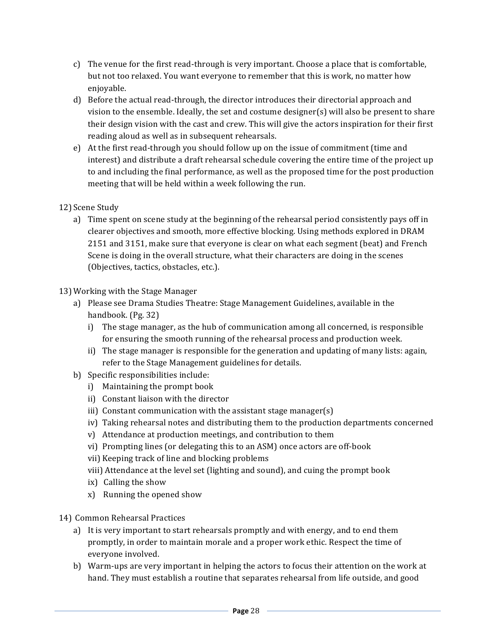- c) The venue for the first read-through is very important. Choose a place that is comfortable, but not too relaxed. You want everyone to remember that this is work, no matter how enjoyable.
- d) Before the actual read-through, the director introduces their directorial approach and vision to the ensemble. Ideally, the set and costume designer(s) will also be present to share their design vision with the cast and crew. This will give the actors inspiration for their first reading aloud as well as in subsequent rehearsals.
- e) At the first read-through you should follow up on the issue of commitment (time and interest) and distribute a draft rehearsal schedule covering the entire time of the project up to and including the final performance, as well as the proposed time for the post production meeting that will be held within a week following the run.

# 12) Scene Study

a) Time spent on scene study at the beginning of the rehearsal period consistently pays off in clearer objectives and smooth, more effective blocking. Using methods explored in DRAM 2151 and 3151, make sure that everyone is clear on what each segment (beat) and French Scene is doing in the overall structure, what their characters are doing in the scenes (Objectives, tactics, obstacles, etc.).

#### 13) Working with the Stage Manager

- a) Please see Drama Studies Theatre: Stage Management Guidelines, available in the handbook. (Pg. 32)
	- i) The stage manager, as the hub of communication among all concerned, is responsible for ensuring the smooth running of the rehearsal process and production week.
	- ii) The stage manager is responsible for the generation and updating of many lists: again, refer to the Stage Management guidelines for details.
- b) Specific responsibilities include:
	- $i)$  Maintaining the prompt book
	- ii) Constant liaison with the director
	- iii) Constant communication with the assistant stage manager(s)
	- iv) Taking rehearsal notes and distributing them to the production departments concerned
	- v) Attendance at production meetings, and contribution to them
	- vi) Prompting lines (or delegating this to an ASM) once actors are off-book
	- vii) Keeping track of line and blocking problems
	- viii) Attendance at the level set (lighting and sound), and cuing the prompt book
	- $ix)$  Calling the show
	- $x)$  Running the opened show
- 14) Common Rehearsal Practices
	- a) It is very important to start rehearsals promptly and with energy, and to end them promptly, in order to maintain morale and a proper work ethic. Respect the time of everyone involved.
	- b) Warm-ups are very important in helping the actors to focus their attention on the work at hand. They must establish a routine that separates rehearsal from life outside, and good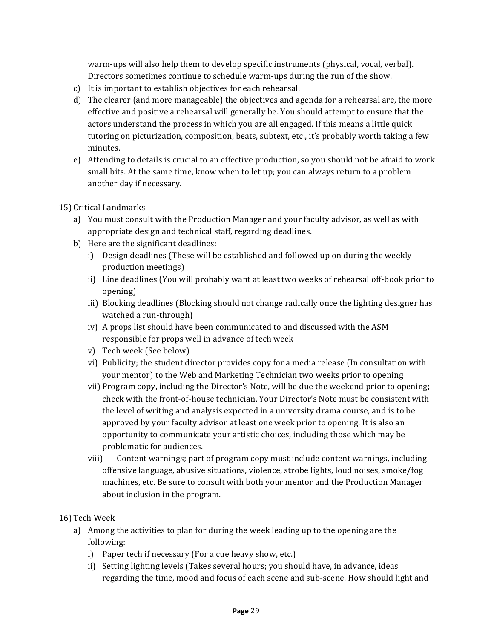warm-ups will also help them to develop specific instruments (physical, vocal, verbal). Directors sometimes continue to schedule warm-ups during the run of the show.

- c) It is important to establish objectives for each rehearsal.
- d) The clearer (and more manageable) the objectives and agenda for a rehearsal are, the more effective and positive a rehearsal will generally be. You should attempt to ensure that the actors understand the process in which you are all engaged. If this means a little quick tutoring on picturization, composition, beats, subtext, etc., it's probably worth taking a few minutes.
- e) Attending to details is crucial to an effective production, so you should not be afraid to work small bits. At the same time, know when to let up; you can always return to a problem another day if necessary.

# 15) Critical Landmarks

- a) You must consult with the Production Manager and your faculty advisor, as well as with appropriate design and technical staff, regarding deadlines.
- b) Here are the significant deadlines:
	- i) Design deadlines (These will be established and followed up on during the weekly production meetings)
	- ii) Line deadlines (You will probably want at least two weeks of rehearsal off-book prior to opening)
	- iii) Blocking deadlines (Blocking should not change radically once the lighting designer has watched a run-through)
	- iv) A props list should have been communicated to and discussed with the ASM responsible for props well in advance of tech week
	- v) Tech week (See below)
	- vi) Publicity; the student director provides copy for a media release (In consultation with your mentor) to the Web and Marketing Technician two weeks prior to opening
	- vii) Program copy, including the Director's Note, will be due the weekend prior to opening; check with the front-of-house technician. Your Director's Note must be consistent with the level of writing and analysis expected in a university drama course, and is to be approved by your faculty advisor at least one week prior to opening. It is also an opportunity to communicate your artistic choices, including those which may be problematic for audiences.
	- viii) Content warnings; part of program copy must include content warnings, including offensive language, abusive situations, violence, strobe lights, loud noises, smoke/fog machines, etc. Be sure to consult with both your mentor and the Production Manager about inclusion in the program.
- 16) Tech Week
	- a) Among the activities to plan for during the week leading up to the opening are the following:
		- i) Paper tech if necessary (For a cue heavy show, etc.)
		- ii) Setting lighting levels (Takes several hours; you should have, in advance, ideas regarding the time, mood and focus of each scene and sub-scene. How should light and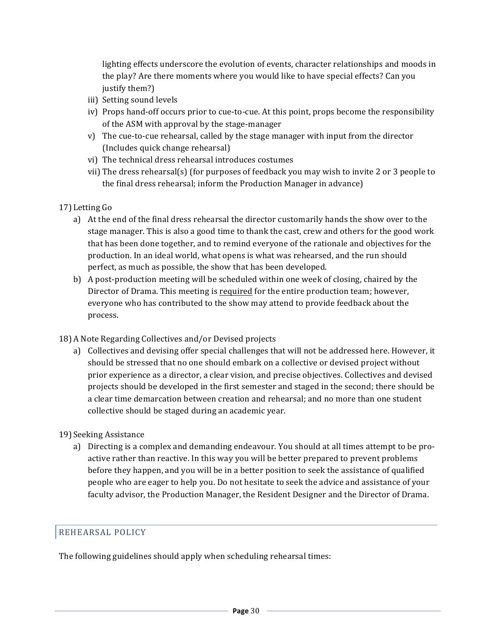lighting effects underscore the evolution of events, character relationships and moods in the play? Are there moments where you would like to have special effects? Can you justify them?)

- iii) Setting sound levels
- iv) Props hand-off occurs prior to cue-to-cue. At this point, props become the responsibility of the ASM with approval by the stage-manager
- v) The cue-to-cue rehearsal, called by the stage manager with input from the director (Includes quick change rehearsal)
- vi) The technical dress rehearsal introduces costumes
- vii) The dress rehearsal(s) (for purposes of feedback you may wish to invite 2 or 3 people to the final dress rehearsal; inform the Production Manager in advance)

# 17) Letting Go

- a) At the end of the final dress rehearsal the director customarily hands the show over to the stage manager. This is also a good time to thank the cast, crew and others for the good work that has been done together, and to remind everyone of the rationale and objectives for the production. In an ideal world, what opens is what was rehearsed, and the run should perfect, as much as possible, the show that has been developed.
- b) A post-production meeting will be scheduled within one week of closing, chaired by the Director of Drama. This meeting is required for the entire production team; however, everyone who has contributed to the show may attend to provide feedback about the process.

#### 18) A Note Regarding Collectives and/or Devised projects

a) Collectives and devising offer special challenges that will not be addressed here. However, it should be stressed that no one should embark on a collective or devised project without prior experience as a director, a clear vision, and precise objectives. Collectives and devised projects should be developed in the first semester and staged in the second; there should be a clear time demarcation between creation and rehearsal; and no more than one student collective should be staged during an academic year.

#### 19) Seeking Assistance

a) Directing is a complex and demanding endeavour. You should at all times attempt to be proactive rather than reactive. In this way you will be better prepared to prevent problems before they happen, and you will be in a better position to seek the assistance of qualified people who are eager to help you. Do not hesitate to seek the advice and assistance of your faculty advisor, the Production Manager, the Resident Designer and the Director of Drama.

# REHEARSAL POLICY

The following guidelines should apply when scheduling rehearsal times: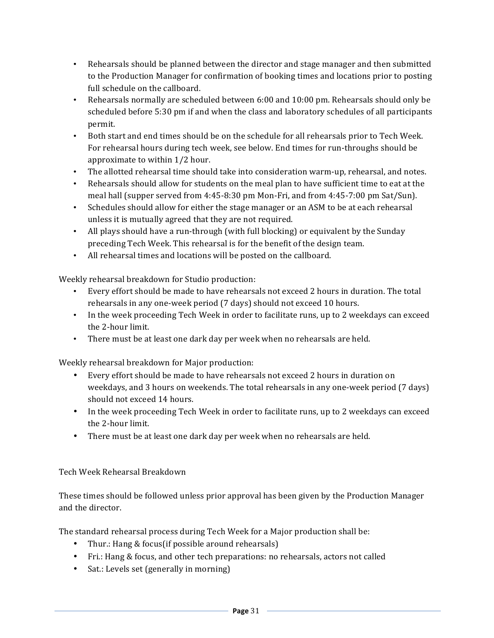- Rehearsals should be planned between the director and stage manager and then submitted to the Production Manager for confirmation of booking times and locations prior to posting full schedule on the callboard.
- Rehearsals normally are scheduled between 6:00 and 10:00 pm. Rehearsals should only be scheduled before 5:30 pm if and when the class and laboratory schedules of all participants permit.
- Both start and end times should be on the schedule for all rehearsals prior to Tech Week. For rehearsal hours during tech week, see below. End times for run-throughs should be approximate to within  $1/2$  hour.
- The allotted rehearsal time should take into consideration warm-up, rehearsal, and notes.
- Rehearsals should allow for students on the meal plan to have sufficient time to eat at the meal hall (supper served from  $4:45-8:30$  pm Mon-Fri, and from  $4:45-7:00$  pm Sat/Sun).
- Schedules should allow for either the stage manager or an ASM to be at each rehearsal unless it is mutually agreed that they are not required.
- All plays should have a run-through (with full blocking) or equivalent by the Sunday preceding Tech Week. This rehearsal is for the benefit of the design team.
- All rehearsal times and locations will be posted on the callboard.

Weekly rehearsal breakdown for Studio production:

- Every effort should be made to have rehearsals not exceed 2 hours in duration. The total rehearsals in any one-week period (7 days) should not exceed 10 hours.
- In the week proceeding Tech Week in order to facilitate runs, up to 2 weekdays can exceed the 2-hour limit.
- There must be at least one dark day per week when no rehearsals are held.

Weekly rehearsal breakdown for Major production:

- Every effort should be made to have rehearsals not exceed 2 hours in duration on weekdays, and 3 hours on weekends. The total rehearsals in any one-week period (7 days) should not exceed 14 hours.
- In the week proceeding Tech Week in order to facilitate runs, up to 2 weekdays can exceed the 2-hour limit.
- There must be at least one dark day per week when no rehearsals are held.

# Tech Week Rehearsal Breakdown

These times should be followed unless prior approval has been given by the Production Manager and the director.

The standard rehearsal process during Tech Week for a Major production shall be:

- Thur.: Hang & focus(if possible around rehearsals)
- Fri.: Hang & focus, and other tech preparations: no rehearsals, actors not called
- Sat.: Levels set (generally in morning)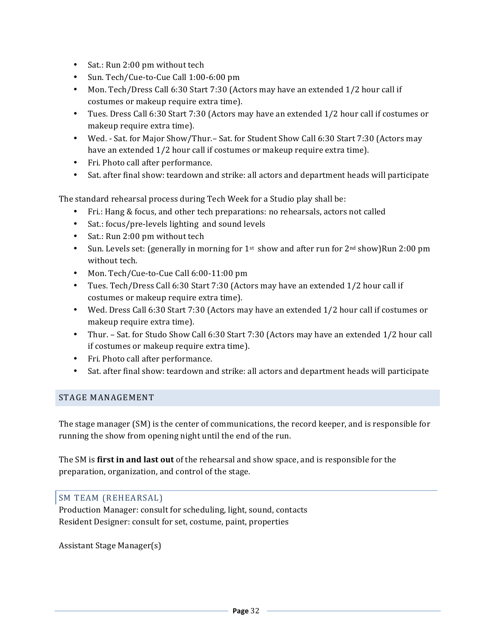- Sat.: Run 2:00 pm without tech
- Sun. Tech/Cue-to-Cue Call 1:00-6:00 pm
- Mon. Tech/Dress Call 6:30 Start 7:30 (Actors may have an extended 1/2 hour call if costumes or makeup require extra time).
- Tues. Dress Call 6:30 Start 7:30 (Actors may have an extended 1/2 hour call if costumes or makeup require extra time).
- Wed. Sat. for Major Show/Thur.– Sat. for Student Show Call 6:30 Start 7:30 (Actors may have an extended  $1/2$  hour call if costumes or makeup require extra time).
- Fri. Photo call after performance.
- Sat. after final show: teardown and strike: all actors and department heads will participate

The standard rehearsal process during Tech Week for a Studio play shall be:

- Fri.: Hang & focus, and other tech preparations: no rehearsals, actors not called
- Sat.: focus/pre-levels lighting and sound levels
- Sat.: Run 2:00 pm without tech
- Sun. Levels set: (generally in morning for  $1^{st}$  show and after run for  $2^{nd}$  show)Run 2:00 pm without tech.
- Mon. Tech/Cue-to-Cue Call 6:00-11:00 pm
- Tues. Tech/Dress Call 6:30 Start 7:30 (Actors may have an extended 1/2 hour call if costumes or makeup require extra time).
- Wed. Dress Call 6:30 Start 7:30 (Actors may have an extended 1/2 hour call if costumes or makeup require extra time).
- Thur. Sat. for Studo Show Call 6:30 Start 7:30 (Actors may have an extended 1/2 hour call if costumes or makeup require extra time).
- Fri. Photo call after performance.
- Sat. after final show: teardown and strike: all actors and department heads will participate

#### STAGE MANAGEMENT

The stage manager (SM) is the center of communications, the record keeper, and is responsible for running the show from opening night until the end of the run.

The SM is **first in and last out** of the rehearsal and show space, and is responsible for the preparation, organization, and control of the stage.

#### SM TEAM (REHEARSAL)

Production Manager: consult for scheduling, light, sound, contacts Resident Designer: consult for set, costume, paint, properties

Assistant Stage Manager(s)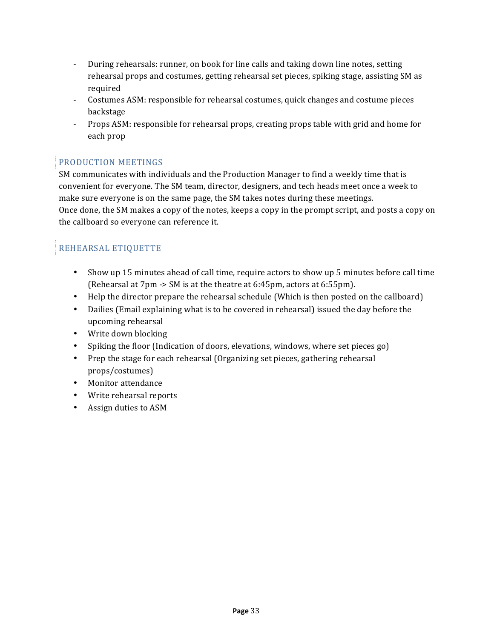- During rehearsals: runner, on book for line calls and taking down line notes, setting rehearsal props and costumes, getting rehearsal set pieces, spiking stage, assisting SM as required
- Costumes ASM: responsible for rehearsal costumes, quick changes and costume pieces backstage
- Props ASM: responsible for rehearsal props, creating props table with grid and home for each prop

# PRODUCTION MEETINGS

SM communicates with individuals and the Production Manager to find a weekly time that is convenient for everyone. The SM team, director, designers, and tech heads meet once a week to make sure everyone is on the same page, the SM takes notes during these meetings. Once done, the SM makes a copy of the notes, keeps a copy in the prompt script, and posts a copy on the callboard so everyone can reference it.

# REHEARSAL ETIQUETTE

- Show up 15 minutes ahead of call time, require actors to show up 5 minutes before call time (Rehearsal at  $7\text{pm} \rightarrow \text{SM}$  is at the theatre at 6:45pm, actors at 6:55pm).
- Help the director prepare the rehearsal schedule (Which is then posted on the callboard)
- Dailies (Email explaining what is to be covered in rehearsal) issued the day before the upcoming rehearsal
- Write down blocking
- Spiking the floor (Indication of doors, elevations, windows, where set pieces go)
- Prep the stage for each rehearsal (Organizing set pieces, gathering rehearsal props/costumes)
- Monitor attendance
- Write rehearsal reports
- Assign duties to ASM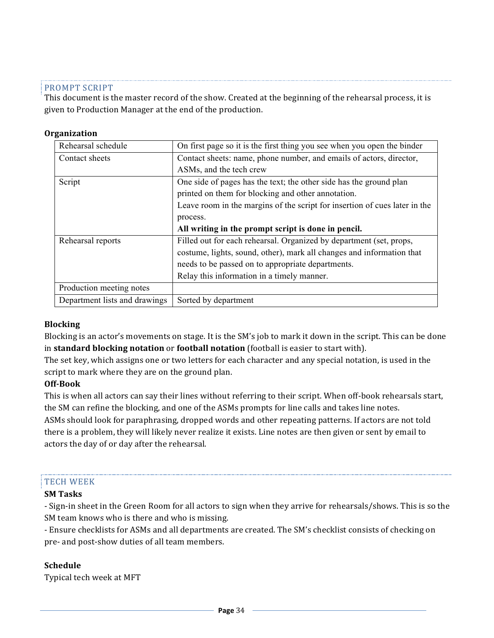#### PROMPT SCRIPT

This document is the master record of the show. Created at the beginning of the rehearsal process, it is given to Production Manager at the end of the production.

#### **Organization**

| Rehearsal schedule       | On first page so it is the first thing you see when you open the binder    |
|--------------------------|----------------------------------------------------------------------------|
| Contact sheets           | Contact sheets: name, phone number, and emails of actors, director,        |
|                          | ASMs, and the tech crew                                                    |
| Script                   | One side of pages has the text; the other side has the ground plan         |
|                          | printed on them for blocking and other annotation.                         |
|                          | Leave room in the margins of the script for insertion of cues later in the |
|                          | process.                                                                   |
|                          |                                                                            |
|                          | All writing in the prompt script is done in pencil.                        |
| Rehearsal reports        | Filled out for each rehearsal. Organized by department (set, props,        |
|                          | costume, lights, sound, other), mark all changes and information that      |
|                          | needs to be passed on to appropriate departments.                          |
|                          | Relay this information in a timely manner.                                 |
| Production meeting notes |                                                                            |

#### **Blocking**

Blocking is an actor's movements on stage. It is the SM's job to mark it down in the script. This can be done in **standard blocking notation** or **football notation** (football is easier to start with).

The set key, which assigns one or two letters for each character and any special notation, is used in the script to mark where they are on the ground plan.

#### **Off-Book**

This is when all actors can say their lines without referring to their script. When off-book rehearsals start, the SM can refine the blocking, and one of the ASMs prompts for line calls and takes line notes. ASMs should look for paraphrasing, dropped words and other repeating patterns. If actors are not told there is a problem, they will likely never realize it exists. Line notes are then given or sent by email to actors the day of or day after the rehearsal.

#### **TECH WEEK**

#### **SM Tasks**

- Sign-in sheet in the Green Room for all actors to sign when they arrive for rehearsals/shows. This is so the SM team knows who is there and who is missing.

- Ensure checklists for ASMs and all departments are created. The SM's checklist consists of checking on pre- and post-show duties of all team members.

#### **Schedule**

Typical tech week at MFT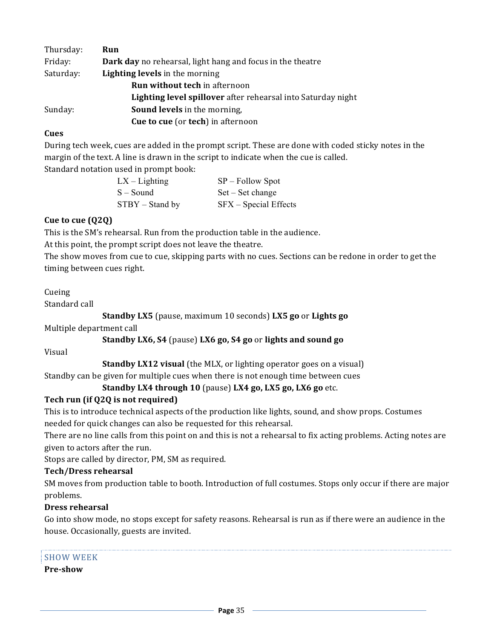| Thursday: | Run                                                               |  |
|-----------|-------------------------------------------------------------------|--|
| Friday:   | <b>Dark day</b> no rehearsal, light hang and focus in the theatre |  |
| Saturday: | <b>Lighting levels</b> in the morning                             |  |
|           | <b>Run without tech in afternoon</b>                              |  |
|           | Lighting level spillover after rehearsal into Saturday night      |  |
| Sunday:   | <b>Sound levels</b> in the morning,                               |  |
|           | <b>Cue to cue</b> (or <b>tech</b> ) in afternoon                  |  |

# **Cues**

During tech week, cues are added in the prompt script. These are done with coded sticky notes in the margin of the text. A line is drawn in the script to indicate when the cue is called.

Standard notation used in prompt book:

| $LX - L$ ighting  | $SP - Follow$ Spot      |
|-------------------|-------------------------|
| $S - Sound$       | $Set - Set change$      |
| $STBY - Stand by$ | $SFX - Special Effects$ |

# **Cue to cue (Q2Q)**

This is the SM's rehearsal. Run from the production table in the audience.

At this point, the prompt script does not leave the theatre.

The show moves from cue to cue, skipping parts with no cues. Sections can be redone in order to get the timing between cues right.

#### Cueing

Standard call

**Standby LX5** (pause, maximum 10 seconds) **LX5** go or **Lights** go

Multiple department call

#### **Standby LX6, S4** (pause) **LX6** go, S4 go or lights and sound go

Visual

**Standby LX12 visual** (the MLX, or lighting operator goes on a visual)

Standby can be given for multiple cues when there is not enough time between cues

# **Standby LX4 through 10** (pause) LX4 go, LX5 go, LX6 go etc.

# **Tech run (if Q2Q is not required)**

This is to introduce technical aspects of the production like lights, sound, and show props. Costumes needed for quick changes can also be requested for this rehearsal.

There are no line calls from this point on and this is not a rehearsal to fix acting problems. Acting notes are given to actors after the run.

Stops are called by director, PM, SM as required.

#### **Tech/Dress rehearsal**

SM moves from production table to booth. Introduction of full costumes. Stops only occur if there are major problems. 

# **Dress rehearsal**

Go into show mode, no stops except for safety reasons. Rehearsal is run as if there were an audience in the house. Occasionally, guests are invited.

#### **SHOW WEEK**

# **Pre-show**